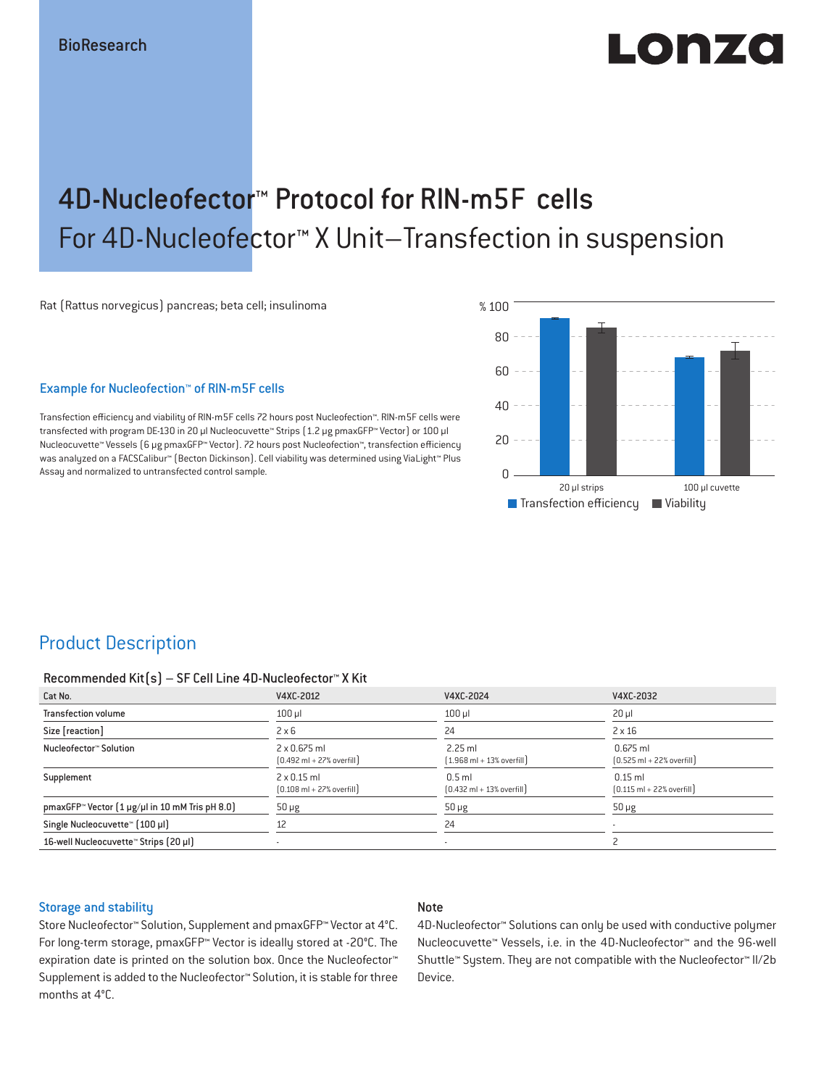# LODZO

## 4D-Nucleofector™ Protocol for RIN-m5F cells For 4D-Nucleofector™ X Unit–Transfection in suspension

Rat (Rattus norvegicus) pancreas; beta cell; insulinoma

#### Example for Nucleofection™ of RIN-m5F cells

Transfection efficiency and viability of RIN-m5F cells 72 hours post Nucleofection™. RIN-m5F cells were transfected with program DE-130 in 20 μl Nucleocuvette™ Strips (1.2 μg pmaxGFP™ Vector) or 100 μl Nucleocuvette™ Vessels (6 μg pmaxGFP™ Vector). 72 hours post Nucleofection™, transfection efficiency was analyzed on a FACSCalibur™ (Becton Dickinson). Cell viability was determined using ViaLight™ Plus Assay and normalized to untransfected control sample.



## Product Description

#### Recommended Kit(s) – SF Cell Line 4D-Nucleofector™ X Kit

| Cat No.                                                    | V4XC-2012                                                           | V4XC-2024                                                 | V4XC-2032                                                  |
|------------------------------------------------------------|---------------------------------------------------------------------|-----------------------------------------------------------|------------------------------------------------------------|
| <b>Transfection volume</b>                                 | $100$ $\mu$                                                         | $100$ $\mu$                                               | $20 \mu$                                                   |
| Size [reaction]                                            | $2 \times 6$                                                        | 24                                                        | $2 \times 16$                                              |
| Nucleofector™ Solution                                     | $2 \times 0.675$ ml<br>$[0.492 \text{ ml} + 27\% \text{ overfill}]$ | $2.25$ ml<br>$[1.968 \text{ ml} + 13\% \text{ overfill}]$ | $0.675$ ml<br>$[0.525 \text{ ml} + 22\% \text{ overfill}]$ |
| Supplement                                                 | $2 \times 0.15$ ml<br>$[0.108 \text{ ml} + 27\% \text{ overfill}]$  | $0.5$ ml<br>$[0.432 \text{ ml} + 13\% \text{ overfill}]$  | $0.15$ ml<br>$[0.115 \text{ ml} + 22\% \text{ overfill}]$  |
| pmaxGFP <sup>™</sup> Vector [1 µg/µl in 10 mM Tris pH 8.0] | $50 \mu g$                                                          | $50 \mu g$                                                | $50 \mu g$                                                 |
| Single Nucleocuvette™ [100 µl]                             | 12                                                                  | 24                                                        | $\overline{\phantom{a}}$                                   |
| 16-well Nucleocuvette™ Strips [20 µl]                      |                                                                     | $\overline{\phantom{a}}$                                  |                                                            |

#### Storage and stability

#### Note

Store Nucleofector™ Solution, Supplement and pmaxGFP™ Vector at 4°C. For long-term storage, pmaxGFP™ Vector is ideally stored at -20°C. The expiration date is printed on the solution box. Once the Nucleofector™ Supplement is added to the Nucleofector™ Solution, it is stable for three months at 4°C.

4D-Nucleofector™ Solutions can only be used with conductive polymer Nucleocuvette™ Vessels, i.e. in the 4D-Nucleofector™ and the 96-well Shuttle™ System. They are not compatible with the Nucleofector™ II/2b Device.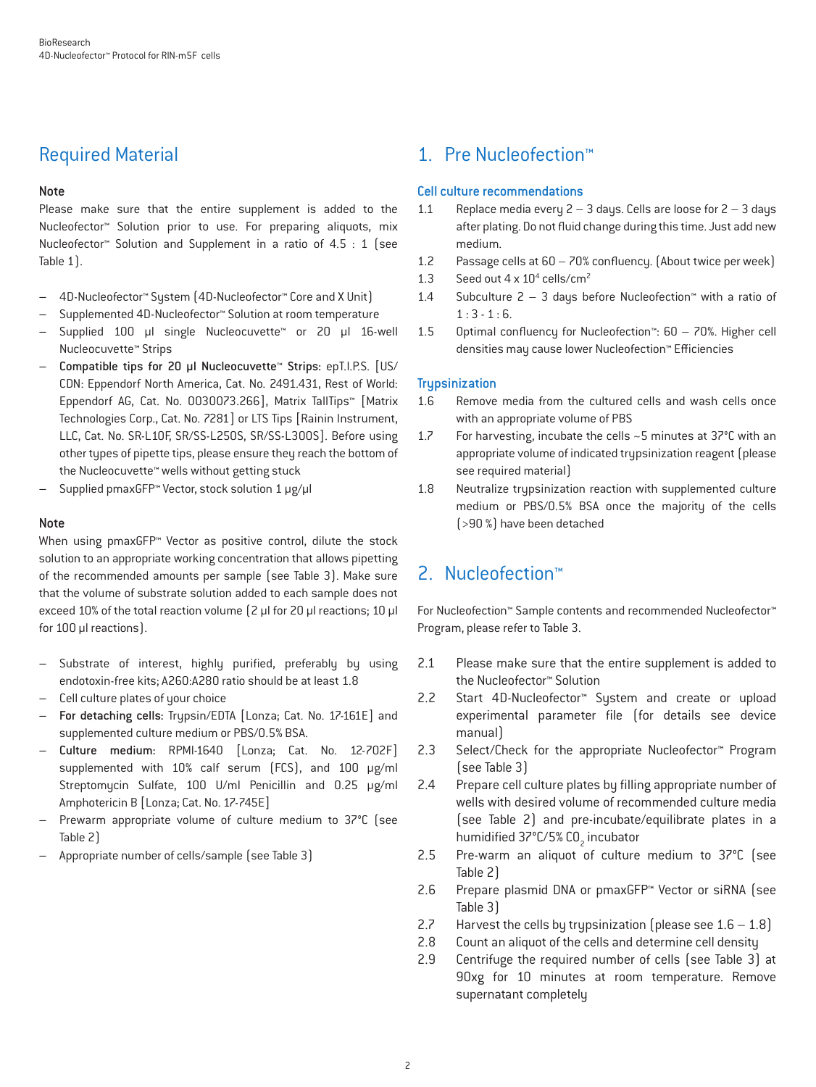## Required Material

#### Note

Please make sure that the entire supplement is added to the Nucleofector™ Solution prior to use. For preparing aliquots, mix Nucleofector™ Solution and Supplement in a ratio of 4.5 : 1 (see Table 1).

- 4D-Nucleofector™ System (4D-Nucleofector™ Core and X Unit)
- Supplemented 4D-Nucleofector™ Solution at room temperature
- Supplied 100 µl single Nucleocuvette™ or 20 µl 16-well Nucleocuvette™ Strips
- Compatible tips for 20 µl Nucleocuvette™ Strips: epT.I.P.S. [US/ CDN: Eppendorf North America, Cat. No. 2491.431, Rest of World: Eppendorf AG, Cat. No. 0030073.266], Matrix TallTips™ [Matrix Technologies Corp., Cat. No. 7281] or LTS Tips [Rainin Instrument, LLC, Cat. No. SR-L10F, SR/SS-L250S, SR/SS-L300S]. Before using other types of pipette tips, please ensure they reach the bottom of the Nucleocuvette™ wells without getting stuck
- Supplied pmaxGFP™ Vector, stock solution 1 μg/μl

#### **Note**

When using pmaxGFP<sup>™</sup> Vector as positive control, dilute the stock solution to an appropriate working concentration that allows pipetting of the recommended amounts per sample (see Table 3). Make sure that the volume of substrate solution added to each sample does not exceed 10% of the total reaction volume (2 μl for 20 μl reactions; 10 μl for 100 μl reactions).

- Substrate of interest, highly purified, preferably by using endotoxin-free kits; A260:A280 ratio should be at least 1.8
- Cell culture plates of your choice
- For detaching cells: Trypsin/EDTA [Lonza; Cat. No. 17-161E] and supplemented culture medium or PBS/0.5% BSA.
- Culture medium: RPMI-1640 [Lonza; Cat. No. 12-702F] supplemented with 10% calf serum (FCS), and 100 µg/ml Streptomycin Sulfate, 100 U/ml Penicillin and 0.25 µg/ml Amphotericin B [Lonza; Cat. No. 17-745E]
- Prewarm appropriate volume of culture medium to 37°C (see Table 2)
- Appropriate number of cells/sample (see Table 3)

## 1. Pre Nucleofection™

#### Cell culture recommendations

- 1.1 Replace media every  $2 3$  days. Cells are loose for  $2 3$  days after plating. Do not fluid change during this time. Just add new medium.
- 1.2 Passage cells at  $60 70\%$  confluency. (About twice per week)
- 1.3 Seed out  $4 \times 10^4$  cells/cm<sup>2</sup>
- 1.4 Subculture  $2 3$  days before Nucleofection<sup>®</sup> with a ratio of  $1:3 - 1:6$ .
- 1.5 Optimal confluency for Nucleofection™:  $60 70%$ . Higher cell densities may cause lower Nucleofection™ Efficiencies

#### **Trypsinization**

- 1.6 Remove media from the cultured cells and wash cells once with an appropriate volume of PBS
- 1.7 For harvesting, incubate the cells ~5 minutes at 37°C with an appropriate volume of indicated trypsinization reagent (please see required material)
- 1.8 Neutralize trypsinization reaction with supplemented culture medium or PBS/0.5% BSA once the majority of the cells (>90 %) have been detached

## 2. Nucleofection™

For Nucleofection™ Sample contents and recommended Nucleofector™ Program, please refer to Table 3.

- 2.1 Please make sure that the entire supplement is added to the Nucleofector™ Solution
- 2.2 Start 4D-Nucleofector™ System and create or upload experimental parameter file (for details see device manual)
- 2.3 Select/Check for the appropriate Nucleofector™ Program (see Table 3)
- 2.4 Prepare cell culture plates by filling appropriate number of wells with desired volume of recommended culture media (see Table 2) and pre-incubate/equilibrate plates in a humidified 37°C/5% CO<sub>2</sub> incubator
- 2.5 Pre-warm an aliquot of culture medium to 37°C (see Table 2)
- 2.6 Prepare plasmid DNA or pmaxGFP™ Vector or siRNA (see Table 3)
- 2.7 Harvest the cells by trypsinization (please see  $1.6 1.8$ )
- 2.8 Count an aliquot of the cells and determine cell density
- 2.9 Centrifuge the required number of cells (see Table 3) at 90xg for 10 minutes at room temperature. Remove supernatant completely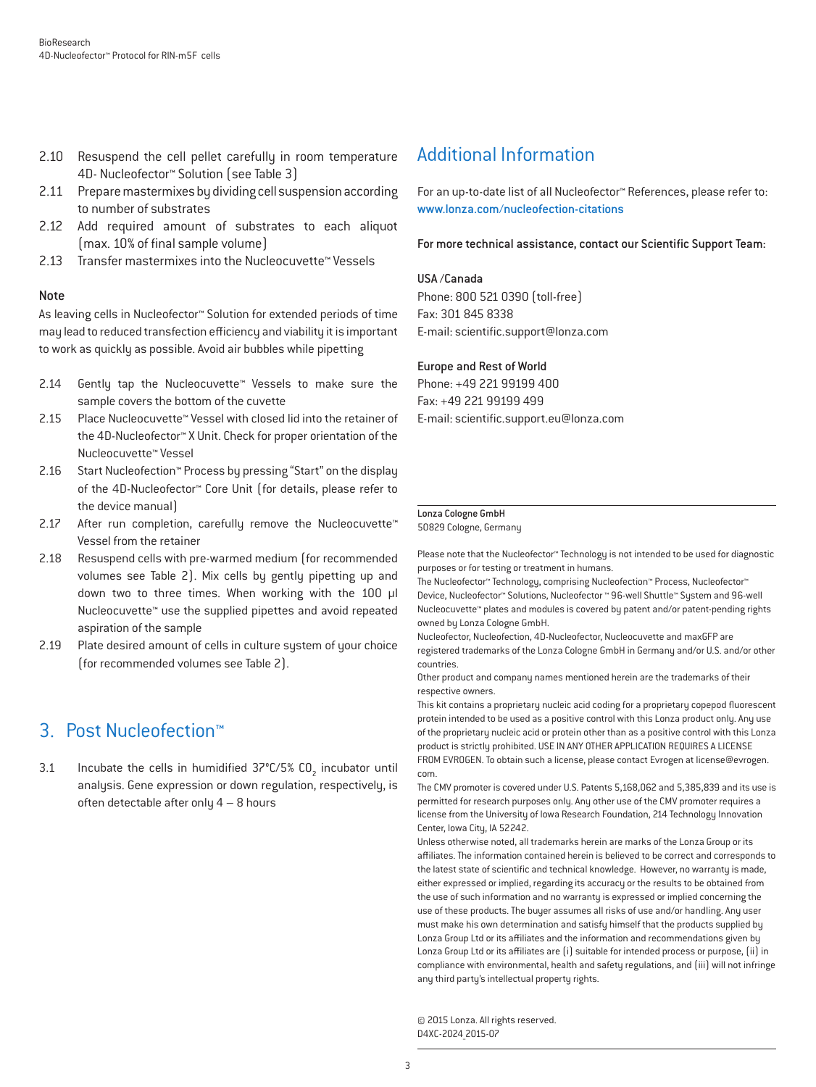- 2.10 Resuspend the cell pellet carefully in room temperature 4D- Nucleofector™ Solution (see Table 3)
- 2.11 Prepare mastermixes by dividing cell suspension according to number of substrates
- 2.12 Add required amount of substrates to each aliquot  $(max. 10%$  of final sample volume $)$
- 2.13 Transfer mastermixes into the Nucleocuvette™ Vessels

#### Note

As leaving cells in Nucleofector™ Solution for extended periods of time may lead to reduced transfection efficiency and viability it is important to work as quickly as possible. Avoid air bubbles while pipetting

- 2.14 Gently tap the Nucleocuvette™ Vessels to make sure the sample covers the bottom of the cuvette
- 2.15 Place Nucleocuvette™ Vessel with closed lid into the retainer of the 4D-Nucleofector™ X Unit. Check for proper orientation of the Nucleocuvette™ Vessel
- 2.16 Start Nucleofection™ Process by pressing "Start" on the display of the 4D-Nucleofector™ Core Unit (for details, please refer to the device manual)
- 2.17 After run completion, carefully remove the Nucleocuvette™ Vessel from the retainer
- 2.18 Resuspend cells with pre-warmed medium (for recommended volumes see Table 2). Mix cells by gently pipetting up and down two to three times. When working with the 100 µl Nucleocuvette™ use the supplied pipettes and avoid repeated aspiration of the sample
- 2.19 Plate desired amount of cells in culture system of your choice (for recommended volumes see Table 2).

## 3. Post Nucleofection™

3.1 Incubate the cells in humidified  $37^{\circ}$ C/5% CO<sub>2</sub> incubator until analysis. Gene expression or down regulation, respectively, is often detectable after only 4 – 8 hours

## Additional Information

For an up-to-date list of all Nucleofector™ References, please refer to: www.lonza.com/nucleofection-citations

For more technical assistance, contact our Scientific Support Team:

#### USA /Canada

Phone: 800 521 0390 (toll-free) Fax: 301 845 8338 E-mail: scientic.support@lonza.com

#### Europe and Rest of World

Phone: +49 221 99199 400 Fax: +49 221 99199 499 E-mail: scientific.support.eu@lonza.com

#### Lonza Cologne GmbH

50829 Cologne, Germany

Please note that the Nucleofector™ Technology is not intended to be used for diagnostic purposes or for testing or treatment in humans.

The Nucleofector™ Technology, comprising Nucleofection™ Process, Nucleofector™ Device, Nucleofector™ Solutions, Nucleofector ™ 96-well Shuttle™ System and 96-well Nucleocuvette™ plates and modules is covered by patent and/or patent-pending rights owned by Lonza Cologne GmbH.

Nucleofector, Nucleofection, 4D-Nucleofector, Nucleocuvette and maxGFP are registered trademarks of the Lonza Cologne GmbH in Germany and/or U.S. and/or other countries.

Other product and company names mentioned herein are the trademarks of their respective owners.

This kit contains a proprietary nucleic acid coding for a proprietary copepod fluorescent protein intended to be used as a positive control with this Lonza product only. Any use of the proprietary nucleic acid or protein other than as a positive control with this Lonza product is strictly prohibited. USE IN ANY OTHER APPLICATION REQUIRES A LICENSE FROM EVROGEN. To obtain such a license, please contact Evrogen at license@evrogen. com.

The CMV promoter is covered under U.S. Patents 5,168,062 and 5,385,839 and its use is permitted for research purposes only. Any other use of the CMV promoter requires a license from the University of Iowa Research Foundation, 214 Technology Innovation Center, Iowa City, IA 52242.

Unless otherwise noted, all trademarks herein are marks of the Lonza Group or its affiliates. The information contained herein is believed to be correct and corresponds to the latest state of scientific and technical knowledge. However, no warranty is made, either expressed or implied, regarding its accuracy or the results to be obtained from the use of such information and no warranty is expressed or implied concerning the use of these products. The buyer assumes all risks of use and/or handling. Any user must make his own determination and satisfy himself that the products supplied by Lonza Group Ltd or its affiliates and the information and recommendations given by Lonza Group Ltd or its affiliates are (i) suitable for intended process or purpose, (ii) in compliance with environmental, health and safety regulations, and (iii) will not infringe any third party's intellectual property rights.

© 2015 Lonza. All rights reserved. D4XC-2024\_2015-07